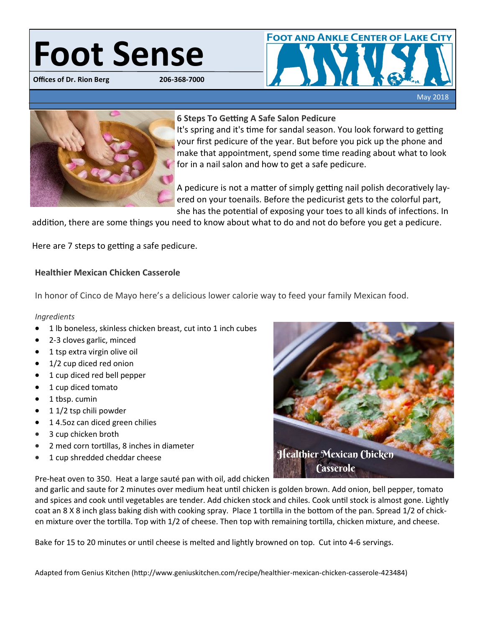# **Foot Sense**

**Offices of Dr. Rion Berg** 





## **6 Steps To Getting A Safe Salon Pedicure**

It's spring and it's time for sandal season. You look forward to getting your first pedicure of the year. But before you pick up the phone and make that appointment, spend some time reading about what to look for in a nail salon and how to get a safe pedicure.

A pedicure is not a matter of simply getting nail polish decoratively layered on your toenails. Before the pedicurist gets to the colorful part, she has the potential of exposing your toes to all kinds of infections. In

addition, there are some things you need to know about what to do and not do before you get a pedicure.

Here are 7 steps to getting a safe pedicure.

# **Healthier Mexican Chicken Casserole**

In honor of Cinco de Mayo here's a delicious lower calorie way to feed your family Mexican food.

## *Ingredients*

- 1 lb boneless, skinless chicken breast, cut into 1 inch cubes
- 2-3 cloves garlic, minced
- 1 tsp extra virgin olive oil
- 1/2 cup diced red onion
- 1 cup diced red bell pepper
- 1 cup diced tomato
- 1 tbsp. cumin
- $\bullet$  1 1/2 tsp chili powder
- 14.5oz can diced green chilies
- 3 cup chicken broth
- 2 med corn tortillas, 8 inches in diameter
- 1 cup shredded cheddar cheese

Pre-heat oven to 350. Heat a large sauté pan with oil, add chicken

and garlic and saute for 2 minutes over medium heat until chicken is golden brown. Add onion, bell pepper, tomato and spices and cook until vegetables are tender. Add chicken stock and chiles. Cook until stock is almost gone. Lightly coat an 8 X 8 inch glass baking dish with cooking spray. Place 1 tortilla in the bottom of the pan. Spread 1/2 of chicken mixture over the tortilla. Top with 1/2 of cheese. Then top with remaining tortilla, chicken mixture, and cheese.

Bake for 15 to 20 minutes or until cheese is melted and lightly browned on top. Cut into 4-6 servings.

Adapted from Genius Kitchen (http://www.geniuskitchen.com/recipe/healthier-mexican-chicken-casserole-423484)